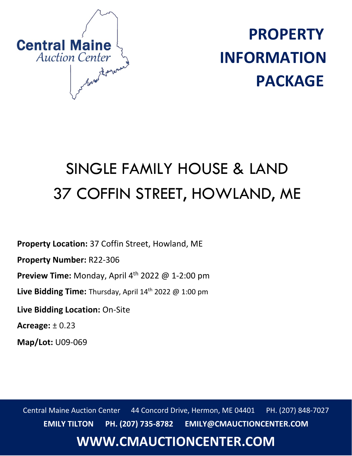

**PROPERTY INFORMATION PACKAGE**

# SINGLE FAMILY HOUSE & LAND 37 COFFIN STREET, HOWLAND, ME

**Property Location:** 37 Coffin Street, Howland, ME

**Property Number:** R22-306

**Preview Time:** Monday, April 4 th 2022 @ 1-2:00 pm

Live Bidding Time: Thursday, April 14<sup>th</sup> 2022 @ 1:00 pm

**Live Bidding Location:** On-Site

**Acreage:** ± 0.23

**Map/Lot:** U09-069

Central Maine Auction Center 44 Concord Drive, Hermon, ME 04401 PH. (207) 848-7027 **EMILY TILTON PH. (207) 735-8782 EMILY@CMAUCTIONCENTER.COM**

## **WWW.CMAUCTIONCENTER.COM**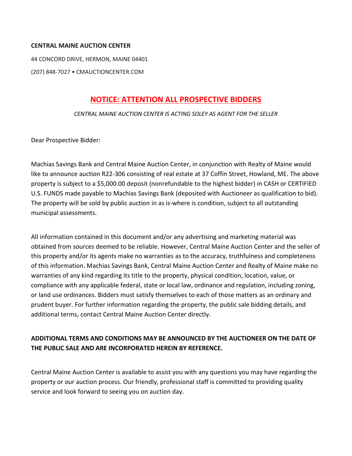#### **CENTRAL MAINE AUCTION CENTER**

44 CONCORD DRIVE, HERMON, MAINE 04401

(207) 848-7027 • CMAUCTIONCENTER.COM

#### **NOTICE: ATTENTION ALL PROSPECTIVE BIDDERS**

*CENTRAL MAINE AUCTION CENTER IS ACTING SOLEY AS AGENT FOR THE SELLER*

Dear Prospective Bidder:

Machias Savings Bank and Central Maine Auction Center, in conjunction with Realty of Maine would like to announce auction R22-306 consisting of real estate at 37 Coffin Street, Howland, ME. The above property is subject to a \$5,000.00 deposit (nonrefundable to the highest bidder) in CASH or CERTIFIED U.S. FUNDS made payable to Machias Savings Bank (deposited with Auctioneer as qualification to bid). The property will be sold by public auction in as is-where is condition, subject to all outstanding municipal assessments.

All information contained in this document and/or any advertising and marketing material was obtained from sources deemed to be reliable. However, Central Maine Auction Center and the seller of this property and/or its agents make no warranties as to the accuracy, truthfulness and completeness of this information. Machias Savings Bank, Central Maine Auction Center and Realty of Maine make no warranties of any kind regarding its title to the property, physical condition, location, value, or compliance with any applicable federal, state or local law, ordinance and regulation, including zoning, or land use ordinances. Bidders must satisfy themselves to each of those matters as an ordinary and prudent buyer. For further information regarding the property, the public sale bidding details, and additional terms, contact Central Maine Auction Center directly.

#### **ADDITIONAL TERMS AND CONDITIONS MAY BE ANNOUNCED BY THE AUCTIONEER ON THE DATE OF THE PUBLIC SALE AND ARE INCORPORATED HEREIN BY REFERENCE.**

Central Maine Auction Center is available to assist you with any questions you may have regarding the property or our auction process. Our friendly, professional staff is committed to providing quality service and look forward to seeing you on auction day.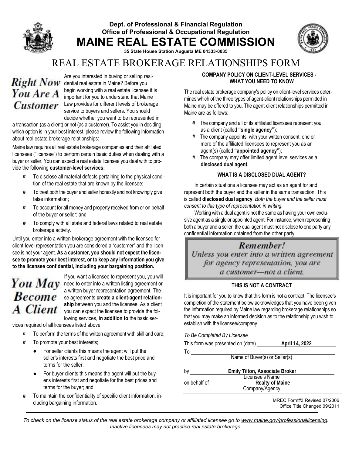### Dept. of Professional & Financial Regulation Office of Professional & Occupational Regulation MAINE REAL ESTATE COMMISSION



35 State House Station Augusta ME 04333-0035

## REAL ESTATE BROKERAGE RELATIONSHIPS FORM

# You Are A

Are you interested in buying or selling resi-Right Now dential real estate in Maine? Before you begin working with a real estate licensee it is important for you to understand that Maine Customer Law provides for different levels of brokerage service to buyers and sellers. You should decide whether you want to be represented in

a transaction (as a client) or not (as a customer). To assist you in deciding which option is in your best interest, please review the following information about real estate brokerage relationships:

Maine law requires all real estate brokerage companies and their affiliated licensees ("licensee") to perform certain basic duties when dealing with a buyer or seller. You can expect a real estate licensee you deal with to provide the following customer-level services:

- **#** To disclose all material defects pertaining to the physical condition of the real estate that are known by the licensee;
- **#** To treat both the buyer and seller honestly and not knowingly give false information;
- **#** To account for all money and property received from or on behalf of the buyer or seller; and
- **#** To comply with all state and federal laws related to real estate brokerage activity.

Until you enter into a written brokerage agreement with the licensee for client-level representation you are considered a "customer" and the licensee is not your agent. As a customer, you should not expect the licensee to promote your best interest, or to keep any information you give to the licensee confidential, including your bargaining position.

# **Become A** Client

If you want a licensee to represent you, you will You  $May$  need to enter into a written listing agreement or a written buyer representation agreement. These agreements create a client-agent relationship between you and the licensee. As a client you can expect the licensee to provide the following services, in addition to the basic ser-

vices required of all licensees listed above:

- **#** To perform the terms of the written agreement with skill and care;
- **#** To promote your best interests;
	- For seller clients this means the agent will put the seller's interests first and negotiate the best price and terms for the seller;
	- For buyer clients this means the agent will put the buyer's interests first and negotiate for the best prices and terms for the buyer; and
- **#** To maintain the confidentiality of specific client information, including bargaining information.

#### COMPANY POLICY ON CLIENT-LEVEL SERVICES -WHAT YOU NEED TO KNOW

The real estate brokerage company's policy on client-level services determines which of the three types of agent-client relationships permitted in Maine may be offered to you. The agent-client relationships permitted in Maine are as follows:

- **#** The company and all of its affiliated licensees represent you as a client (called "single agency");
- **#** The company appoints, with your written consent, one or more of the affiliated licensees to represent you as an agent(s) (called "appointed agency");
- **#** The company may offer limited agent level services as a disclosed dual agent.

#### WHAT IS A DISCLOSED DUAL AGENT?

In certain situations a licensee may act as an agent for and represent both the buyer and the seller in the same transaction. This is called disclosed dual agency. *Both the buyer and the seller must consent to this type of representation in writing.*

Working with a dual agent is not the same as having your own exclusive agent as a single or appointed agent. For instance, when representing both a buyer and a seller, the dual agent must not disclose to one party any confidential information obtained from the other party.

## Remember!

Unless you enter into a written agreement for agency representation, you are a customer-not a client.

#### THIS IS NOT A CONTRACT

It is important for you to know that this form is not a contract. The licensee's completion of the statement below acknowledges that you have been given the information required by Maine law regarding brokerage relationships so that you may make an informed decision as to the relationship you wish to establish with the licensee/company.

|                                   | To Be Completed By Licensee    |                        |  |  |  |
|-----------------------------------|--------------------------------|------------------------|--|--|--|
| This form was presented on (date) |                                | April 14, 2022         |  |  |  |
| To                                |                                |                        |  |  |  |
| Name of Buyer(s) or Seller(s)     |                                |                        |  |  |  |
| b٧                                | Emily Tilton, Associate Broker |                        |  |  |  |
| on behalf of                      | <b>Licensee's Name</b>         | <b>Realty of Maine</b> |  |  |  |
|                                   | Company/Agency                 |                        |  |  |  |

MREC Form#3 Revised 07/2006 Office Title Changed 09/2011

*To check on the license status of the real estate brokerage company or affiliated licensee go to www.maine.gov/professionallicensing. Inactive licensees may not practice real estate brokerage.*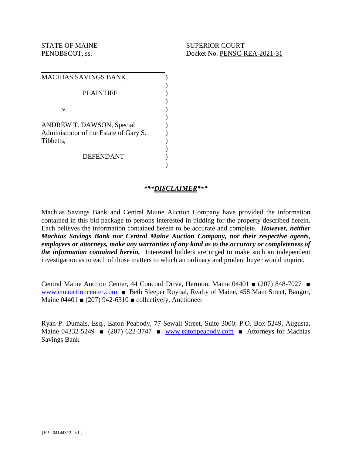| MACHIAS SAVINGS BANK,                                                                   |  |
|-----------------------------------------------------------------------------------------|--|
| <b>PLAINTIFF</b>                                                                        |  |
| v.                                                                                      |  |
| <b>ANDREW T. DAWSON, Special</b><br>Administrator of the Estate of Gary S.<br>Tibbetts, |  |
| <b>DEFENDANT</b>                                                                        |  |

#### *\*\*\*DISCLAIMER\*\*\**

Machias Savings Bank and Central Maine Auction Company have provided the information contained in this bid package to persons interested in bidding for the property described herein. Each believes the information contained herein to be accurate and complete. *However, neither Machias Savings Bank nor Central Maine Auction Company, nor their respective agents, employees or attorneys, make any warranties of any kind as to the accuracy or completeness of the information contained herein.* Interested bidders are urged to make such an independent investigation as to each of those matters to which an ordinary and prudent buyer would inquire.

Central Maine Auction Center, 44 Concord Drive, Hermon, Maine 04401 ■ (207) 848-7027 ■ www.cmauctioncenter.com ■ Beth Sleeper Roybal, Realty of Maine, 458 Main Street, Bangor, Maine 04401  $\bullet$  (207) 942-6310  $\bullet$  collectively, Auctioneer

Ryan P. Dumais, Esq., Eaton Peabody, 77 Sewall Street, Suite 3000; P.O. Box 5249, Augusta, Maine 04332-5249 ■ (207) 622-3747 ■ www.eatonpeabody.com ■ Attorneys for Machias Savings Bank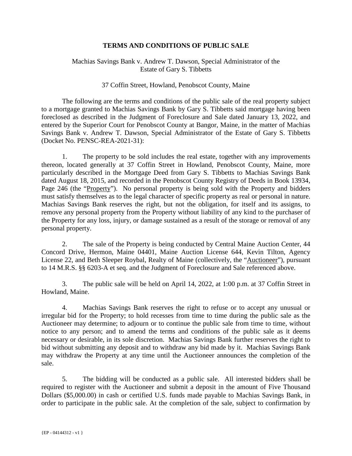#### **TERMS AND CONDITIONS OF PUBLIC SALE**

#### Machias Savings Bank v. Andrew T. Dawson, Special Administrator of the Estate of Gary S. Tibbetts

#### 37 Coffin Street, Howland, Penobscot County, Maine

 The following are the terms and conditions of the public sale of the real property subject to a mortgage granted to Machias Savings Bank by Gary S. Tibbetts said mortgage having been foreclosed as described in the Judgment of Foreclosure and Sale dated January 13, 2022, and entered by the Superior Court for Penobscot County at Bangor, Maine, in the matter of Machias Savings Bank v. Andrew T. Dawson, Special Administrator of the Estate of Gary S. Tibbetts (Docket No. PENSC-REA-2021-31):

1. The property to be sold includes the real estate, together with any improvements thereon, located generally at 37 Coffin Street in Howland, Penobscot County, Maine, more particularly described in the Mortgage Deed from Gary S. Tibbetts to Machias Savings Bank dated August 18, 2015, and recorded in the Penobscot County Registry of Deeds in Book 13934, Page 246 (the "Property"). No personal property is being sold with the Property and bidders must satisfy themselves as to the legal character of specific property as real or personal in nature. Machias Savings Bank reserves the right, but not the obligation, for itself and its assigns, to remove any personal property from the Property without liability of any kind to the purchaser of the Property for any loss, injury, or damage sustained as a result of the storage or removal of any personal property.

2. The sale of the Property is being conducted by Central Maine Auction Center, 44 Concord Drive, Hermon, Maine 04401, Maine Auction License 644, Kevin Tilton, Agency License 22, and Beth Sleeper Roybal, Realty of Maine (collectively, the "Auctioneer"), pursuant to 14 M.R.S. §§ 6203-A et seq. and the Judgment of Foreclosure and Sale referenced above.

3. The public sale will be held on April 14, 2022, at 1:00 p.m. at 37 Coffin Street in Howland, Maine.

4. Machias Savings Bank reserves the right to refuse or to accept any unusual or irregular bid for the Property; to hold recesses from time to time during the public sale as the Auctioneer may determine; to adjourn or to continue the public sale from time to time, without notice to any person; and to amend the terms and conditions of the public sale as it deems necessary or desirable, in its sole discretion. Machias Savings Bank further reserves the right to bid without submitting any deposit and to withdraw any bid made by it. Machias Savings Bank may withdraw the Property at any time until the Auctioneer announces the completion of the sale.

5. The bidding will be conducted as a public sale. All interested bidders shall be required to register with the Auctioneer and submit a deposit in the amount of Five Thousand Dollars (\$5,000.00) in cash or certified U.S. funds made payable to Machias Savings Bank, in order to participate in the public sale. At the completion of the sale, subject to confirmation by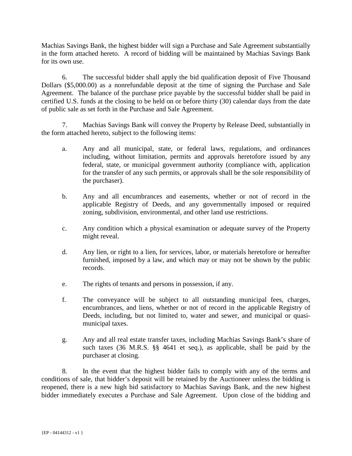Machias Savings Bank, the highest bidder will sign a Purchase and Sale Agreement substantially in the form attached hereto. A record of bidding will be maintained by Machias Savings Bank for its own use.

6. The successful bidder shall apply the bid qualification deposit of Five Thousand Dollars (\$5,000.00) as a nonrefundable deposit at the time of signing the Purchase and Sale Agreement. The balance of the purchase price payable by the successful bidder shall be paid in certified U.S. funds at the closing to be held on or before thirty (30) calendar days from the date of public sale as set forth in the Purchase and Sale Agreement.

7. Machias Savings Bank will convey the Property by Release Deed, substantially in the form attached hereto, subject to the following items:

- a. Any and all municipal, state, or federal laws, regulations, and ordinances including, without limitation, permits and approvals heretofore issued by any federal, state, or municipal government authority (compliance with, application for the transfer of any such permits, or approvals shall be the sole responsibility of the purchaser).
- b. Any and all encumbrances and easements, whether or not of record in the applicable Registry of Deeds, and any governmentally imposed or required zoning, subdivision, environmental, and other land use restrictions.
- c. Any condition which a physical examination or adequate survey of the Property might reveal.
- d. Any lien, or right to a lien, for services, labor, or materials heretofore or hereafter furnished, imposed by a law, and which may or may not be shown by the public records.
- e. The rights of tenants and persons in possession, if any.
- f. The conveyance will be subject to all outstanding municipal fees, charges, encumbrances, and liens, whether or not of record in the applicable Registry of Deeds, including, but not limited to, water and sewer, and municipal or quasimunicipal taxes.
- g. Any and all real estate transfer taxes, including Machias Savings Bank's share of such taxes (36 M.R.S. §§ 4641 et seq.), as applicable, shall be paid by the purchaser at closing.

8. In the event that the highest bidder fails to comply with any of the terms and conditions of sale, that bidder's deposit will be retained by the Auctioneer unless the bidding is reopened, there is a new high bid satisfactory to Machias Savings Bank, and the new highest bidder immediately executes a Purchase and Sale Agreement. Upon close of the bidding and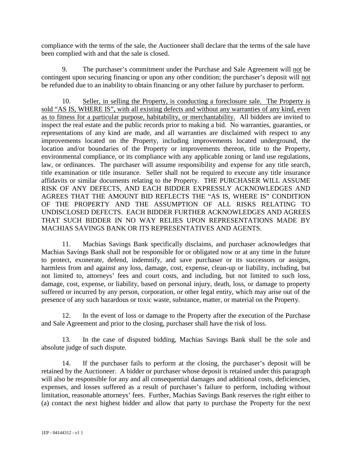compliance with the terms of the sale, the Auctioneer shall declare that the terms of the sale have been complied with and that the sale is closed.

9. The purchaser's commitment under the Purchase and Sale Agreement will not be contingent upon securing financing or upon any other condition; the purchaser's deposit will not be refunded due to an inability to obtain financing or any other failure by purchaser to perform.

10. Seller, in selling the Property, is conducting a foreclosure sale. The Property is sold "AS IS, WHERE IS", with all existing defects and without any warranties of any kind, even as to fitness for a particular purpose, habitability, or merchantability. All bidders are invited to inspect the real estate and the public records prior to making a bid. No warranties, guaranties, or representations of any kind are made, and all warranties are disclaimed with respect to any improvements located on the Property, including improvements located underground, the location and/or boundaries of the Property or improvements thereon, title to the Property, environmental compliance, or its compliance with any applicable zoning or land use regulations, law, or ordinances. The purchaser will assume responsibility and expense for any title search, title examination or title insurance. Seller shall not be required to execute any title insurance affidavits or similar documents relating to the Property. THE PURCHASER WILL ASSUME RISK OF ANY DEFECTS, AND EACH BIDDER EXPRESSLY ACKNOWLEDGES AND AGREES THAT THE AMOUNT BID REFLECTS THE "AS IS, WHERE IS" CONDITION OF THE PROPERTY AND THE ASSUMPTION OF ALL RISKS RELATING TO UNDISCLOSED DEFECTS. EACH BIDDER FURTHER ACKNOWLEDGES AND AGREES THAT SUCH BIDDER IN NO WAY RELIES UPON REPRESENTATIONS MADE BY MACHIAS SAVINGS BANK OR ITS REPRESENTATIVES AND AGENTS.

11. Machias Savings Bank specifically disclaims, and purchaser acknowledges that Machias Savings Bank shall not be responsible for or obligated now or at any time in the future to protect, exonerate, defend, indemnify, and save purchaser or its successors or assigns, harmless from and against any loss, damage, cost, expense, clean-up or liability, including, but not limited to, attorneys' fees and court costs, and including, but not limited to such loss, damage, cost, expense, or liability, based on personal injury, death, loss, or damage to property suffered or incurred by any person, corporation, or other legal entity, which may arise out of the presence of any such hazardous or toxic waste, substance, matter, or material on the Property.

12. In the event of loss or damage to the Property after the execution of the Purchase and Sale Agreement and prior to the closing, purchaser shall have the risk of loss.

13. In the case of disputed bidding, Machias Savings Bank shall be the sole and absolute judge of such dispute.

14. If the purchaser fails to perform at the closing, the purchaser's deposit will be retained by the Auctioneer. A bidder or purchaser whose deposit is retained under this paragraph will also be responsible for any and all consequential damages and additional costs, deficiencies, expenses, and losses suffered as a result of purchaser's failure to perform, including without limitation, reasonable attorneys' fees. Further, Machias Savings Bank reserves the right either to (a) contact the next highest bidder and allow that party to purchase the Property for the next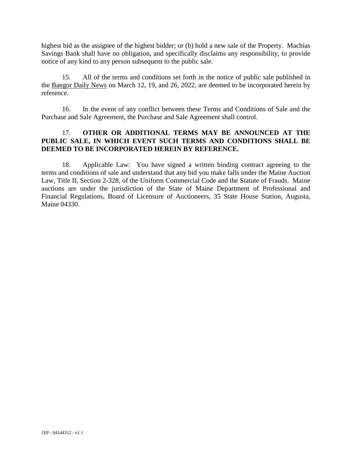highest bid as the assignee of the highest bidder; or (b) hold a new sale of the Property. Machias Savings Bank shall have no obligation, and specifically disclaims any responsibility, to provide notice of any kind to any person subsequent to the public sale.

15. All of the terms and conditions set forth in the notice of public sale published in the Bangor Daily News on March 12, 19, and 26, 2022, are deemed to be incorporated herein by reference.

16. In the event of any conflict between these Terms and Conditions of Sale and the Purchase and Sale Agreement, the Purchase and Sale Agreement shall control.

#### 17. **OTHER OR ADDITIONAL TERMS MAY BE ANNOUNCED AT THE PUBLIC SALE, IN WHICH EVENT SUCH TERMS AND CONDITIONS SHALL BE DEEMED TO BE INCORPORATED HEREIN BY REFERENCE.**

18. Applicable Law: You have signed a written binding contract agreeing to the terms and conditions of sale and understand that any bid you make falls under the Maine Auction Law, Title II, Section 2-328, of the Uniform Commercial Code and the Statute of Frauds. Maine auctions are under the jurisdiction of the State of Maine Department of Professional and Financial Regulations, Board of Licensure of Auctioneers, 35 State House Station, Augusta, Maine 04330.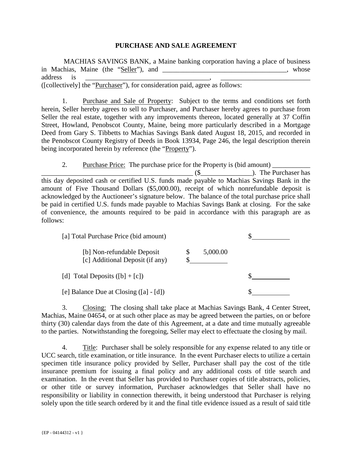#### **PURCHASE AND SALE AGREEMENT**

 MACHIAS SAVINGS BANK, a Maine banking corporation having a place of business in Machias, Maine (the "Seller"), and \_\_\_\_\_\_\_\_\_\_\_\_\_\_\_\_\_\_\_\_\_\_\_\_\_\_\_\_\_\_\_\_, whose address is \_\_\_\_\_\_\_\_\_\_\_\_\_\_\_\_\_\_\_\_\_\_\_\_\_\_\_\_\_\_\_\_\_\_\_\_, \_\_\_\_\_\_\_\_\_\_\_\_\_\_\_\_\_\_\_\_\_\_\_\_\_\_ ([collectively] the "Purchaser"), for consideration paid, agree as follows:

1. Purchase and Sale of Property: Subject to the terms and conditions set forth herein, Seller hereby agrees to sell to Purchaser, and Purchaser hereby agrees to purchase from Seller the real estate, together with any improvements thereon, located generally at 37 Coffin Street, Howland, Penobscot County, Maine, being more particularly described in a Mortgage Deed from Gary S. Tibbetts to Machias Savings Bank dated August 18, 2015, and recorded in the Penobscot County Registry of Deeds in Book 13934, Page 246, the legal description therein being incorporated herein by reference (the "Property").

2. Purchase Price: The purchase price for the Property is (bid amount) \_\_\_\_\_\_\_\_\_\_\_ \_\_\_\_\_\_\_\_\_\_\_\_\_\_\_\_\_\_\_\_\_\_\_\_\_\_\_\_\_\_\_\_\_\_\_\_\_\_\_\_\_\_\_\_ (\$\_\_\_\_\_\_\_\_\_\_\_\_\_\_\_). The Purchaser has this day deposited cash or certified U.S. funds made payable to Machias Savings Bank in the amount of Five Thousand Dollars (\$5,000.00), receipt of which nonrefundable deposit is acknowledged by the Auctioneer's signature below. The balance of the total purchase price shall be paid in certified U.S. funds made payable to Machias Savings Bank at closing. For the sake of convenience, the amounts required to be paid in accordance with this paragraph are as follows:

| [a] Total Purchase Price (bid amount)                         |          |  |
|---------------------------------------------------------------|----------|--|
| [b] Non-refundable Deposit<br>[c] Additional Deposit (if any) | 5,000.00 |  |
| [d] Total Deposits $([b] + [c])$                              |          |  |
| [e] Balance Due at Closing $([a] - [d])$                      |          |  |

3. Closing: The closing shall take place at Machias Savings Bank, 4 Center Street, Machias, Maine 04654, or at such other place as may be agreed between the parties, on or before thirty (30) calendar days from the date of this Agreement, at a date and time mutually agreeable to the parties. Notwithstanding the foregoing, Seller may elect to effectuate the closing by mail.

4. Title: Purchaser shall be solely responsible for any expense related to any title or UCC search, title examination, or title insurance. In the event Purchaser elects to utilize a certain specimen title insurance policy provided by Seller, Purchaser shall pay the cost of the title insurance premium for issuing a final policy and any additional costs of title search and examination. In the event that Seller has provided to Purchaser copies of title abstracts, policies, or other title or survey information, Purchaser acknowledges that Seller shall have no responsibility or liability in connection therewith, it being understood that Purchaser is relying solely upon the title search ordered by it and the final title evidence issued as a result of said title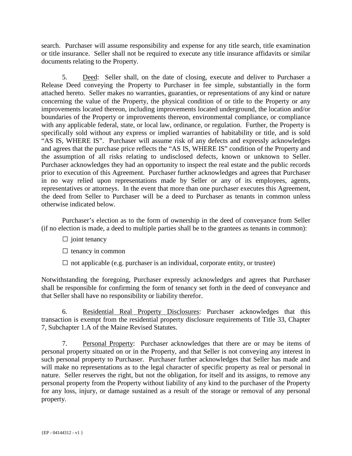search. Purchaser will assume responsibility and expense for any title search, title examination or title insurance. Seller shall not be required to execute any title insurance affidavits or similar documents relating to the Property.

5. Deed: Seller shall, on the date of closing, execute and deliver to Purchaser a Release Deed conveying the Property to Purchaser in fee simple, substantially in the form attached hereto. Seller makes no warranties, guaranties, or representations of any kind or nature concerning the value of the Property, the physical condition of or title to the Property or any improvements located thereon, including improvements located underground, the location and/or boundaries of the Property or improvements thereon, environmental compliance, or compliance with any applicable federal, state, or local law, ordinance, or regulation. Further, the Property is specifically sold without any express or implied warranties of habitability or title, and is sold "AS IS, WHERE IS". Purchaser will assume risk of any defects and expressly acknowledges and agrees that the purchase price reflects the "AS IS, WHERE IS" condition of the Property and the assumption of all risks relating to undisclosed defects, known or unknown to Seller. Purchaser acknowledges they had an opportunity to inspect the real estate and the public records prior to execution of this Agreement. Purchaser further acknowledges and agrees that Purchaser in no way relied upon representations made by Seller or any of its employees, agents, representatives or attorneys. In the event that more than one purchaser executes this Agreement, the deed from Seller to Purchaser will be a deed to Purchaser as tenants in common unless otherwise indicated below.

 Purchaser's election as to the form of ownership in the deed of conveyance from Seller (if no election is made, a deed to multiple parties shall be to the grantees as tenants in common):

- $\Box$  joint tenancy
- $\square$  tenancy in common
- $\Box$  not applicable (e.g. purchaser is an individual, corporate entity, or trustee)

Notwithstanding the foregoing, Purchaser expressly acknowledges and agrees that Purchaser shall be responsible for confirming the form of tenancy set forth in the deed of conveyance and that Seller shall have no responsibility or liability therefor.

6. Residential Real Property Disclosures: Purchaser acknowledges that this transaction is exempt from the residential property disclosure requirements of Title 33, Chapter 7, Subchapter 1.A of the Maine Revised Statutes.

7. Personal Property: Purchaser acknowledges that there are or may be items of personal property situated on or in the Property, and that Seller is not conveying any interest in such personal property to Purchaser. Purchaser further acknowledges that Seller has made and will make no representations as to the legal character of specific property as real or personal in nature. Seller reserves the right, but not the obligation, for itself and its assigns, to remove any personal property from the Property without liability of any kind to the purchaser of the Property for any loss, injury, or damage sustained as a result of the storage or removal of any personal property.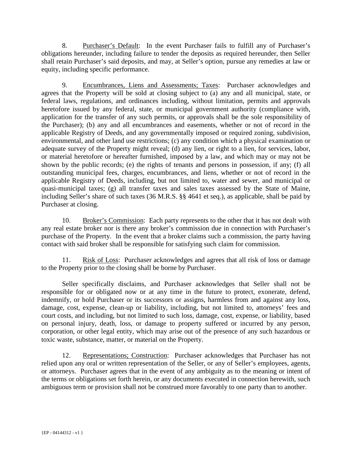8. Purchaser's Default: In the event Purchaser fails to fulfill any of Purchaser's obligations hereunder, including failure to tender the deposits as required hereunder, then Seller shall retain Purchaser's said deposits, and may, at Seller's option, pursue any remedies at law or equity, including specific performance.

9. Encumbrances, Liens and Assessments; Taxes: Purchaser acknowledges and agrees that the Property will be sold at closing subject to (a) any and all municipal, state, or federal laws, regulations, and ordinances including, without limitation, permits and approvals heretofore issued by any federal, state, or municipal government authority (compliance with, application for the transfer of any such permits, or approvals shall be the sole responsibility of the Purchaser); (b) any and all encumbrances and easements, whether or not of record in the applicable Registry of Deeds, and any governmentally imposed or required zoning, subdivision, environmental, and other land use restrictions; (c) any condition which a physical examination or adequate survey of the Property might reveal; (d) any lien, or right to a lien, for services, labor, or material heretofore or hereafter furnished, imposed by a law, and which may or may not be shown by the public records; (e) the rights of tenants and persons in possession, if any; (f) all outstanding municipal fees, charges, encumbrances, and liens, whether or not of record in the applicable Registry of Deeds, including, but not limited to, water and sewer, and municipal or quasi-municipal taxes; (g) all transfer taxes and sales taxes assessed by the State of Maine, including Seller's share of such taxes (36 M.R.S. §§ 4641 et seq.), as applicable, shall be paid by Purchaser at closing.

10. Broker's Commission: Each party represents to the other that it has not dealt with any real estate broker nor is there any broker's commission due in connection with Purchaser's purchase of the Property. In the event that a broker claims such a commission, the party having contact with said broker shall be responsible for satisfying such claim for commission.

11. Risk of Loss: Purchaser acknowledges and agrees that all risk of loss or damage to the Property prior to the closing shall be borne by Purchaser.

Seller specifically disclaims, and Purchaser acknowledges that Seller shall not be responsible for or obligated now or at any time in the future to protect, exonerate, defend, indemnify, or hold Purchaser or its successors or assigns, harmless from and against any loss, damage, cost, expense, clean-up or liability, including, but not limited to, attorneys' fees and court costs, and including, but not limited to such loss, damage, cost, expense, or liability, based on personal injury, death, loss, or damage to property suffered or incurred by any person, corporation, or other legal entity, which may arise out of the presence of any such hazardous or toxic waste, substance, matter, or material on the Property.

12. Representations; Construction: Purchaser acknowledges that Purchaser has not relied upon any oral or written representation of the Seller, or any of Seller's employees, agents, or attorneys. Purchaser agrees that in the event of any ambiguity as to the meaning or intent of the terms or obligations set forth herein, or any documents executed in connection herewith, such ambiguous term or provision shall not be construed more favorably to one party than to another.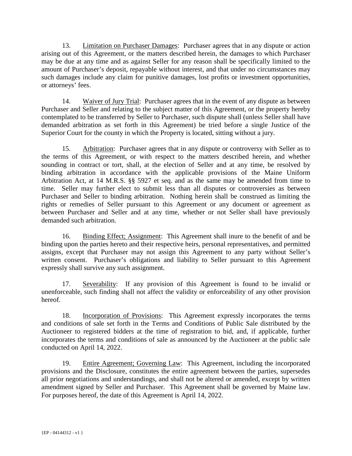13. Limitation on Purchaser Damages: Purchaser agrees that in any dispute or action arising out of this Agreement, or the matters described herein, the damages to which Purchaser may be due at any time and as against Seller for any reason shall be specifically limited to the amount of Purchaser's deposit, repayable without interest, and that under no circumstances may such damages include any claim for punitive damages, lost profits or investment opportunities, or attorneys' fees.

14. Waiver of Jury Trial: Purchaser agrees that in the event of any dispute as between Purchaser and Seller and relating to the subject matter of this Agreement, or the property hereby contemplated to be transferred by Seller to Purchaser, such dispute shall (unless Seller shall have demanded arbitration as set forth in this Agreement) be tried before a single Justice of the Superior Court for the county in which the Property is located, sitting without a jury.

15. Arbitration: Purchaser agrees that in any dispute or controversy with Seller as to the terms of this Agreement, or with respect to the matters described herein, and whether sounding in contract or tort, shall, at the election of Seller and at any time, be resolved by binding arbitration in accordance with the applicable provisions of the Maine Uniform Arbitration Act, at 14 M.R.S. §§ 5927 et seq. and as the same may be amended from time to time. Seller may further elect to submit less than all disputes or controversies as between Purchaser and Seller to binding arbitration. Nothing herein shall be construed as limiting the rights or remedies of Seller pursuant to this Agreement or any document or agreement as between Purchaser and Seller and at any time, whether or not Seller shall have previously demanded such arbitration.

16. Binding Effect; Assignment: This Agreement shall inure to the benefit of and be binding upon the parties hereto and their respective heirs, personal representatives, and permitted assigns, except that Purchaser may not assign this Agreement to any party without Seller's written consent. Purchaser's obligations and liability to Seller pursuant to this Agreement expressly shall survive any such assignment.

17. Severability: If any provision of this Agreement is found to be invalid or unenforceable, such finding shall not affect the validity or enforceability of any other provision hereof.

18. Incorporation of Provisions: This Agreement expressly incorporates the terms and conditions of sale set forth in the Terms and Conditions of Public Sale distributed by the Auctioneer to registered bidders at the time of registration to bid, and, if applicable, further incorporates the terms and conditions of sale as announced by the Auctioneer at the public sale conducted on April 14, 2022.

19. Entire Agreement; Governing Law: This Agreement, including the incorporated provisions and the Disclosure, constitutes the entire agreement between the parties, supersedes all prior negotiations and understandings, and shall not be altered or amended, except by written amendment signed by Seller and Purchaser. This Agreement shall be governed by Maine law. For purposes hereof, the date of this Agreement is April 14, 2022.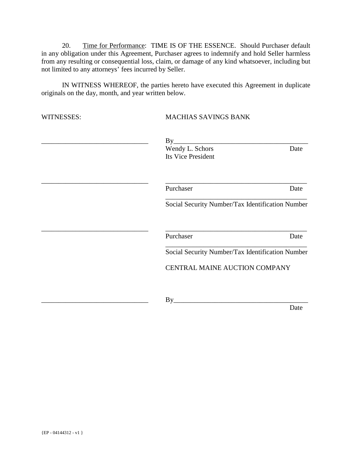20. Time for Performance: TIME IS OF THE ESSENCE. Should Purchaser default in any obligation under this Agreement, Purchaser agrees to indemnify and hold Seller harmless from any resulting or consequential loss, claim, or damage of any kind whatsoever, including but not limited to any attorneys' fees incurred by Seller.

IN WITNESS WHEREOF, the parties hereto have executed this Agreement in duplicate originals on the day, month, and year written below.

| WITNESSES: | <b>MACHIAS SAVINGS BANK</b>                      |      |
|------------|--------------------------------------------------|------|
|            | By<br>Wendy L. Schors                            | Date |
|            | Its Vice President                               |      |
|            | Purchaser                                        | Date |
|            | Social Security Number/Tax Identification Number |      |
|            | Purchaser                                        | Date |
|            | Social Security Number/Tax Identification Number |      |
|            | CENTRAL MAINE AUCTION COMPANY                    |      |
|            | By                                               |      |
|            |                                                  | Date |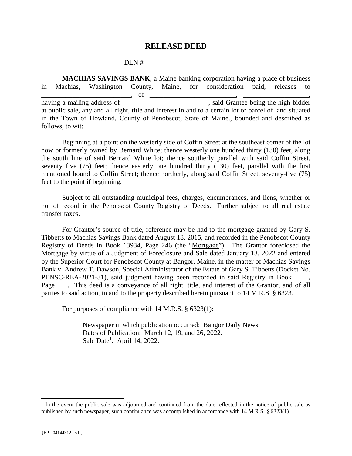#### **RELEASE DEED**

#### DLN #

 **MACHIAS SAVINGS BANK**, a Maine banking corporation having a place of business in Machias, Washington County, Maine, for consideration paid, releases to \_\_\_\_\_\_\_\_\_\_\_\_\_\_\_\_\_\_\_\_\_\_\_\_\_\_, of \_\_\_\_\_\_\_\_\_\_\_\_\_\_\_\_\_\_\_\_\_\_\_\_\_, \_\_\_\_\_\_\_\_\_\_\_\_\_\_\_\_\_\_\_, having a mail is a mail in the same of  $\alpha$  mail is a main state of  $\alpha$  main state being the high bidder at public sale, any and all right, title and interest in and to a certain lot or parcel of land situated in the Town of Howland, County of Penobscot, State of Maine., bounded and described as follows, to wit:

Beginning at a point on the westerly side of Coffin Street at the southeast comer of the lot now or formerly owned by Bernard White; thence westerly one hundred thirty (130) feet, along the south line of said Bernard White lot; thence southerly parallel with said Coffin Street, seventy five (75) feet; thence easterly one hundred thirty (130) feet, parallel with the first mentioned bound to Coffin Street; thence northerly, along said Coffin Street, seventy-five (75) feet to the point if beginning.

 Subject to all outstanding municipal fees, charges, encumbrances, and liens, whether or not of record in the Penobscot County Registry of Deeds. Further subject to all real estate transfer taxes.

For Grantor's source of title, reference may be had to the mortgage granted by Gary S. Tibbetts to Machias Savings Bank dated August 18, 2015, and recorded in the Penobscot County Registry of Deeds in Book 13934, Page 246 (the "Mortgage"). The Grantor foreclosed the Mortgage by virtue of a Judgment of Foreclosure and Sale dated January 13, 2022 and entered by the Superior Court for Penobscot County at Bangor, Maine, in the matter of Machias Savings Bank v. Andrew T. Dawson, Special Administrator of the Estate of Gary S. Tibbetts (Docket No. PENSC-REA-2021-31), said judgment having been recorded in said Registry in Book \_\_\_ Page \_\_\_. This deed is a conveyance of all right, title, and interest of the Grantor, and of all parties to said action, in and to the property described herein pursuant to 14 M.R.S. § 6323.

For purposes of compliance with 14 M.R.S. § 6323(1):

Newspaper in which publication occurred: Bangor Daily News. Dates of Publication: March 12, 19, and 26, 2022. Sale Date<sup>1</sup>: April 14, 2022.

÷,

<sup>&</sup>lt;sup>1</sup> In the event the public sale was adjourned and continued from the date reflected in the notice of public sale as published by such newspaper, such continuance was accomplished in accordance with 14 M.R.S. § 6323(1).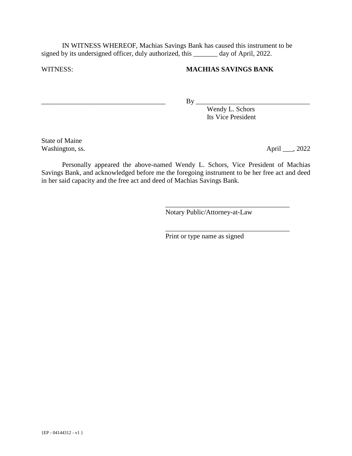IN WITNESS WHEREOF, Machias Savings Bank has caused this instrument to be signed by its undersigned officer, duly authorized, this \_\_\_\_\_\_\_ day of April, 2022.

#### WITNESS: **MACHIAS SAVINGS BANK**

\_\_\_\_\_\_\_\_\_\_\_\_\_\_\_\_\_\_\_\_\_\_\_\_\_\_\_\_\_\_\_\_\_\_\_\_ By \_\_\_\_\_\_\_\_\_\_\_\_\_\_\_\_\_\_\_\_\_\_\_\_\_\_\_\_\_\_\_\_\_

 Wendy L. Schors Its Vice President

State of Maine Washington, ss.  $\Delta \text{pril} \_\_2, 2022$ 

 Personally appeared the above-named Wendy L. Schors, Vice President of Machias Savings Bank, and acknowledged before me the foregoing instrument to be her free act and deed in her said capacity and the free act and deed of Machias Savings Bank.

 $\overline{\phantom{a}}$  , which is a set of the set of the set of the set of the set of the set of the set of the set of the set of the set of the set of the set of the set of the set of the set of the set of the set of the set of th

 $\overline{\phantom{a}}$  , which is a set of the set of the set of the set of the set of the set of the set of the set of the set of the set of the set of the set of the set of the set of the set of the set of the set of the set of th

Notary Public/Attorney-at-Law

Print or type name as signed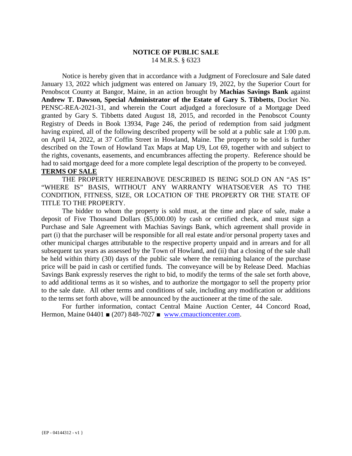#### **NOTICE OF PUBLIC SALE** 14 M.R.S. § 6323

 Notice is hereby given that in accordance with a Judgment of Foreclosure and Sale dated January 13, 2022 which judgment was entered on January 19, 2022, by the Superior Court for Penobscot County at Bangor, Maine, in an action brought by **Machias Savings Bank** against **Andrew T. Dawson, Special Administrator of the Estate of Gary S. Tibbetts**, Docket No. PENSC-REA-2021-31, and wherein the Court adjudged a foreclosure of a Mortgage Deed granted by Gary S. Tibbetts dated August 18, 2015, and recorded in the Penobscot County Registry of Deeds in Book 13934, Page 246, the period of redemption from said judgment having expired, all of the following described property will be sold at a public sale at 1:00 p.m. on April 14, 2022, at 37 Coffin Street in Howland, Maine. The property to be sold is further described on the Town of Howland Tax Maps at Map U9, Lot 69, together with and subject to the rights, covenants, easements, and encumbrances affecting the property. Reference should be had to said mortgage deed for a more complete legal description of the property to be conveyed. **TERMS OF SALE** 

THE PROPERTY HEREINABOVE DESCRIBED IS BEING SOLD ON AN "AS IS" "WHERE IS" BASIS, WITHOUT ANY WARRANTY WHATSOEVER AS TO THE CONDITION, FITNESS, SIZE, OR LOCATION OF THE PROPERTY OR THE STATE OF TITLE TO THE PROPERTY.

The bidder to whom the property is sold must, at the time and place of sale, make a deposit of Five Thousand Dollars (\$5,000.00) by cash or certified check, and must sign a Purchase and Sale Agreement with Machias Savings Bank, which agreement shall provide in part (i) that the purchaser will be responsible for all real estate and/or personal property taxes and other municipal charges attributable to the respective property unpaid and in arrears and for all subsequent tax years as assessed by the Town of Howland, and (ii) that a closing of the sale shall be held within thirty (30) days of the public sale where the remaining balance of the purchase price will be paid in cash or certified funds. The conveyance will be by Release Deed. Machias Savings Bank expressly reserves the right to bid, to modify the terms of the sale set forth above, to add additional terms as it so wishes, and to authorize the mortgagor to sell the property prior to the sale date. All other terms and conditions of sale, including any modification or additions to the terms set forth above, will be announced by the auctioneer at the time of the sale.

For further information, contact Central Maine Auction Center, 44 Concord Road, Hermon, Maine 04401 ■ (207) 848-7027 ■ www.cmauctioncenter.com.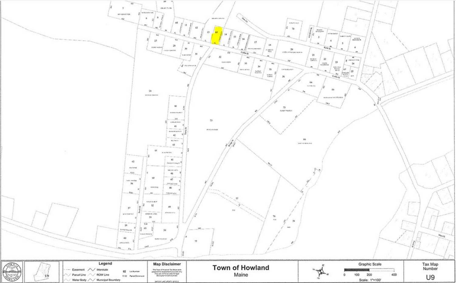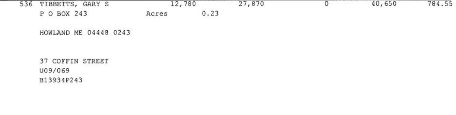

HOWLAND ME 04448 0243

37 COFFIN STREET U09/069 B13934P243